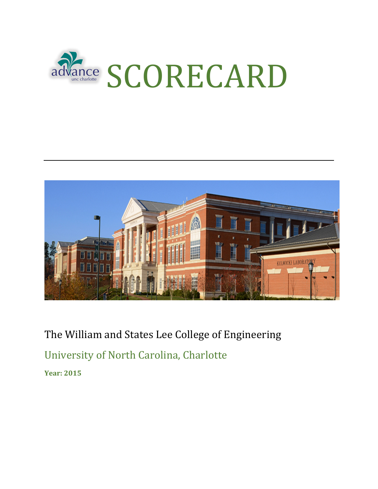



The William and States Lee College of Engineering University of North Carolina, Charlotte

**Year: 2015**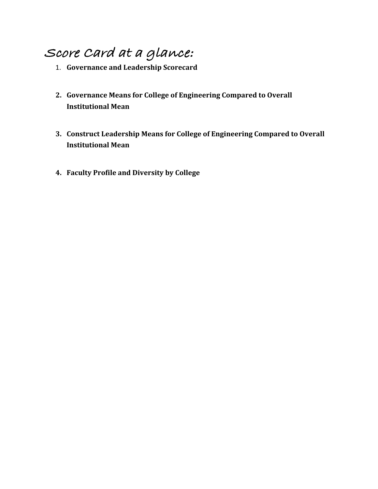# **Score Card at a glance:**

- 1. **Governance and Leadership Scorecard**
- 2. Governance Means for College of Engineering Compared to Overall **Institutional Mean**
- **3. Construct Leadership Means for College of Engineering Compared to Overall Institutional Mean**
- **4. Faculty Profile and Diversity by College**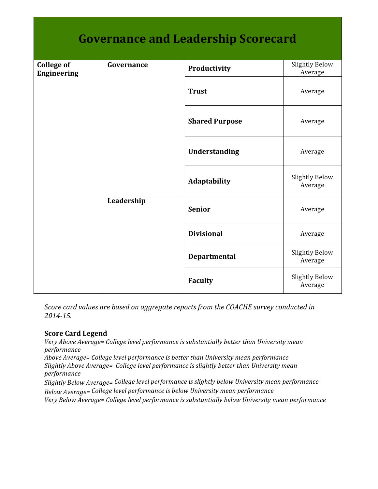| <b>Governance and Leadership Scorecard</b> |            |                       |                                  |  |  |  |
|--------------------------------------------|------------|-----------------------|----------------------------------|--|--|--|
| <b>College of</b><br><b>Engineering</b>    | Governance | Productivity          | <b>Slightly Below</b><br>Average |  |  |  |
|                                            |            | <b>Trust</b>          | Average                          |  |  |  |
|                                            |            | <b>Shared Purpose</b> | Average                          |  |  |  |
|                                            |            | Understanding         | Average                          |  |  |  |
|                                            |            | Adaptability          | <b>Slightly Below</b><br>Average |  |  |  |
|                                            | Leadership | <b>Senior</b>         | Average                          |  |  |  |
|                                            |            | <b>Divisional</b>     | Average                          |  |  |  |
|                                            |            | Departmental          | <b>Slightly Below</b><br>Average |  |  |  |
|                                            |            | <b>Faculty</b>        | <b>Slightly Below</b><br>Average |  |  |  |

*Score card values are based on aggregate reports from the COACHE survey conducted in 2014-15.*

#### **Score Card Legend**

Very Above Average= College level performance is substantially better than University mean *performance* Above Average= College level performance is better than University mean performance Slightly Above Average= College level performance is slightly better than University mean *performance* Slightly Below Average= College level performance is slightly below University mean performance *Below Average=* College level performance is below University mean performance Very Below Average= College level performance is substantially below University mean performance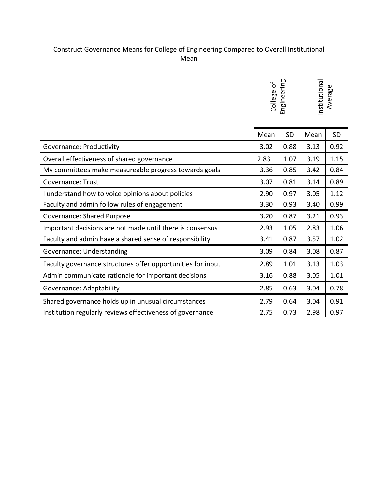#### Construct Governance Means for College of Engineering Compared to Overall Institutional Mean

|                                                             | Engineering<br>College of |           | nstitutional<br>Average |           |
|-------------------------------------------------------------|---------------------------|-----------|-------------------------|-----------|
|                                                             | Mean                      | <b>SD</b> | Mean                    | <b>SD</b> |
| <b>Governance: Productivity</b>                             | 3.02                      | 0.88      | 3.13                    | 0.92      |
| Overall effectiveness of shared governance                  | 2.83                      | 1.07      | 3.19                    | 1.15      |
| My committees make measureable progress towards goals       | 3.36                      | 0.85      | 3.42                    | 0.84      |
| <b>Governance: Trust</b>                                    | 3.07                      | 0.81      | 3.14                    | 0.89      |
| I understand how to voice opinions about policies           | 2.90                      | 0.97      | 3.05                    | 1.12      |
| Faculty and admin follow rules of engagement                |                           | 0.93      | 3.40                    | 0.99      |
| <b>Governance: Shared Purpose</b>                           |                           | 0.87      | 3.21                    | 0.93      |
| Important decisions are not made until there is consensus   | 2.93                      | 1.05      | 2.83                    | 1.06      |
| Faculty and admin have a shared sense of responsibility     | 3.41                      | 0.87      | 3.57                    | 1.02      |
| Governance: Understanding                                   | 3.09                      | 0.84      | 3.08                    | 0.87      |
| Faculty governance structures offer opportunities for input | 2.89                      | 1.01      | 3.13                    | 1.03      |
| Admin communicate rationale for important decisions         | 3.16                      | 0.88      | 3.05                    | 1.01      |
| Governance: Adaptability                                    | 2.85                      | 0.63      | 3.04                    | 0.78      |
| Shared governance holds up in unusual circumstances         | 2.79                      | 0.64      | 3.04                    | 0.91      |
| Institution regularly reviews effectiveness of governance   | 2.75                      | 0.73      | 2.98                    | 0.97      |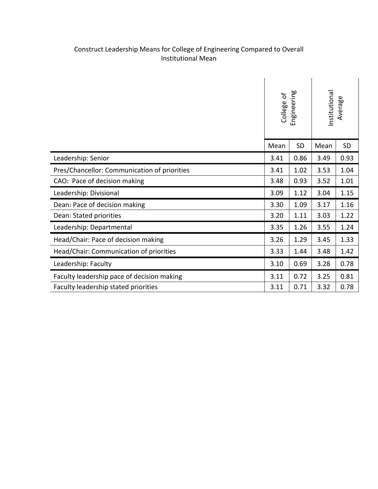### Construct Leadership Means for College of Engineering Compared to Overall Institutional Mean

|                                              | Engineering<br>College of |      | nstitutional<br>Average |           |
|----------------------------------------------|---------------------------|------|-------------------------|-----------|
|                                              | Mean                      | SD   | Mean                    | <b>SD</b> |
| Leadership: Senior                           | 3.41                      | 0.86 | 3.49                    | 0.93      |
| Pres/Chancellor: Communication of priorities | 3.41                      | 1.02 | 3.53                    | 1.04      |
| CAO: Pace of decision making                 | 3.48                      | 0.93 | 3.52                    | 1.01      |
| Leadership: Divisional                       | 3.09                      | 1.12 | 3.04                    | 1.15      |
| Dean: Pace of decision making                |                           | 1.09 | 3.17                    | 1.16      |
| Dean: Stated priorities                      | 3.20                      | 1.11 | 3.03                    | 1.22      |
| Leadership: Departmental                     | 3.35                      | 1.26 | 3.55                    | 1.24      |
| Head/Chair: Pace of decision making          | 3.26                      | 1.29 | 3.45                    | 1.33      |
| Head/Chair: Communication of priorities      | 3.33                      | 1.44 | 3.48                    | 1.42      |
| Leadership: Faculty                          | 3.10                      | 0.69 | 3.28                    | 0.78      |
| Faculty leadership pace of decision making   |                           | 0.72 | 3.25                    | 0.81      |
| Faculty leadership stated priorities         |                           | 0.71 | 3.32                    | 0.78      |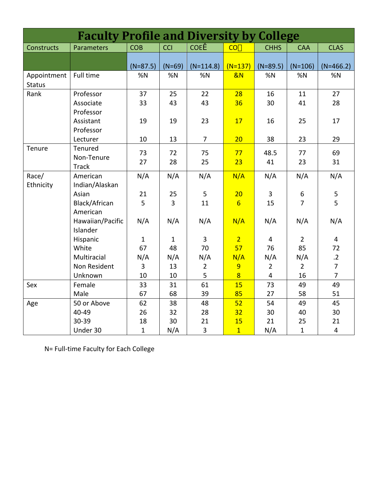| <b>Faculty Profile and Diversity by College</b> |                              |              |                |                |                 |                |                |                 |
|-------------------------------------------------|------------------------------|--------------|----------------|----------------|-----------------|----------------|----------------|-----------------|
| Constructs                                      | Parameters                   | <b>COB</b>   | <b>CCI</b>     | <b>COE</b>     | $CO -$          | <b>CHHS</b>    | <b>CAA</b>     | <b>CLAS</b>     |
|                                                 |                              | $(N=87.5)$   | $(N=69)$       | $(N=114.8)$    | $(N=137)$       | $(N=89.5)$     | $(N=106)$      | $(N=466.2)$     |
| Appointment<br><b>Status</b>                    | Full time                    | %N           | %N             | %N             | &N              | %N             | %N             | %N              |
| Rank                                            | Professor                    | 37           | 25             | 22             | 28              | 16             | 11             | 27              |
|                                                 | Associate<br>Professor       | 33           | 43             | 43             | 36              | 30             | 41             | 28              |
|                                                 | Assistant<br>Professor       | 19           | 19             | 23             | 17              | 16             | 25             | 17              |
|                                                 | Lecturer                     | 10           | 13             | $\overline{7}$ | 20              | 38             | 23             | 29              |
| Tenure                                          | Tenured<br>Non-Tenure        | 73<br>27     | 72             | 75             | 77              | 48.5           | 77             | 69              |
|                                                 | <b>Track</b>                 |              | 28             | 25             | 23              | 41             | 23             | 31              |
| Race/<br>Ethnicity                              | American<br>Indian/Alaskan   | N/A          | N/A            | N/A            | N/A             | N/A            | N/A            | N/A             |
|                                                 | Asian                        | 21           | 25             | 5              | 20              | 3              | $\,6\,$        | 5               |
|                                                 | Black/African<br>American    | 5            | $\overline{3}$ | 11             | $6\overline{6}$ | 15             | $\overline{7}$ | 5               |
|                                                 | Hawaiian/Pacific<br>Islander | N/A          | N/A            | N/A            | N/A             | N/A            | N/A            | N/A             |
|                                                 | Hispanic                     | $\mathbf{1}$ | $\mathbf{1}$   | 3              | $\overline{2}$  | 4              | $\overline{2}$ | 4               |
|                                                 | White                        | 67           | 48             | 70             | 57              | 76             | 85             | 72              |
|                                                 | Multiracial                  | N/A          | N/A            | N/A            | N/A             | N/A            | N/A            | $\overline{.2}$ |
|                                                 | Non Resident                 | 3            | 13             | $\overline{2}$ | 9               | $\overline{2}$ | $\overline{2}$ | $\overline{7}$  |
|                                                 | Unknown                      | 10           | 10             | 5              | $\overline{8}$  | $\overline{4}$ | 16             | $\overline{7}$  |
| Sex                                             | Female                       | 33           | 31             | 61             | 15              | 73             | 49             | 49              |
|                                                 | Male                         | 67           | 68             | 39             | 85              | 27             | 58             | 51              |
| Age                                             | 50 or Above                  | 62           | 38             | 48             | 52              | 54             | 49             | 45              |
|                                                 | 40-49                        | 26           | 32             | 28             | 32              | 30             | 40             | 30              |
|                                                 | 30-39                        | 18           | 30             | 21             | 15              | 21             | 25             | 21              |
|                                                 | Under 30                     | $\mathbf{1}$ | N/A            | $\overline{3}$ | $\overline{1}$  | N/A            | $\mathbf{1}$   | $\overline{4}$  |

N= Full-time Faculty for Each College